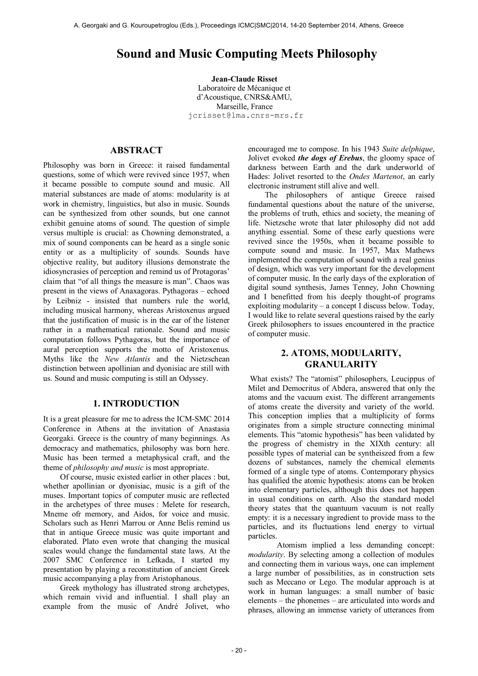# **Sound and Music Computing Meets Philosophy**

**Jean-Claude Risset** Laboratoire de Mécanique et d'Acoustique, CNRS&AMU, Marseille, France [jcrisset@lma.cnrs-mrs.fr](mailto:jcrisset@lma.cnrs-mrs.fr)

# **ABSTRACT**

Philosophy was born in Greece: it raised fundamental questions, some of which were revived since 1957, when it became possible to compute sound and music. All material substances are made of atoms: modularity is at work in chemistry, linguistics, but also in music. Sounds can be synthesized from other sounds, but one cannot exhibit genuine atoms of sound. The question of simple versus multiple is crucial: as Chowning demonstrated, a mix of sound components can be heard as a single sonic entity or as a multiplicity of sounds. Sounds have objective reality, but auditory illusions demonstrate the idiosyncrasies of perception and remind us of Protagoras' claim that "of all things the measure is man". Chaos was present in the views of Anaxagoras. Pythagoras – echoed by Leibniz - insisted that numbers rule the world, including musical harmony, whereas Aristoxenus argued that the justification of music is in the ear of the listener rather in a mathematical rationale. Sound and music computation follows Pythagoras, but the importance of aural perception supports the motto of Aristoxenus. Myths like the *New Atlantis* and the Nietzschean distinction between apollinian and dyonisiac are still with us. Sound and music computing is still an Odyssey.

#### **1. INTRODUCTION**

It is a great pleasure for me to adress the ICM-SMC 2014 Conference in Athens at the invitation of Anastasia Georgaki. Greece is the country of many beginnings. As democracy and mathematics, philosophy was born here. Music has been termed a metaphysical craft, and the theme of *philosophy and music* is most appropriate.

Of course, music existed earlier in other places : but, whether apollinian or dyonisiac, music is a gift of the muses. Important topics of computer music are reflected in the archetypes of three muses : Melete for research, Mneme ofr memory, and Aidos, for voice and music. Scholars such as Henri Marrou or Anne Belis remind us that in antique Greece music was quite important and elaborated. Plato even wrote that changing the musical scales would change the fundamental state laws. At the 2007 SMC Conference in Lefkada, I started my presentation by playing a reconstitution of ancient Greek music accompanying a play from Aristophanous.

Greek mythology has illustrated strong archetypes, which remain vivid and influential. I shall play an example from the music of André Jolivet, who encouraged me to compose. In his 1943 *Suite delphique*, Jolivet evoked *the dogs of Erebus*, the gloomy space of darkness between Earth and the dark underworld of Hades: Jolivet resorted to the *Ondes Martenot*, an early electronic instrument still alive and well.

The philosophers of antique Greece raised fundamental questions about the nature of the universe, the problems of truth, ethics and society, the meaning of life. Nietzsche wrote that later philosophy did not add anything essential. Some of these early questions were revived since the 1950s, when it became possible to compute sound and music. In 1957, Max Mathews implemented the computation of sound with a real genius of design, which was very important for the development of computer music. In the early days of the exploration of digital sound synthesis, James Tenney, John Chowning and I benefitted from his deeply thought-of programs exploiting modularity – a concept I discuss below. Today, I would like to relate several questions raised by the early Greek philosophers to issues encountered in the practice of computer music.

# **2. ATOMS, MODULARITY, GRANULARITY**

 What exists? The "atomist" philosophers, Leucippus of Milet and Democritus of Abdera, answered that only the atoms and the vacuum exist. The different arrangements of atoms create the diversity and variety of the world. This conception implies that a multiplicity of forms originates from a simple structure connecting minimal elements. This "atomic hypothesis" has been validated by the progress of chemistry in the XIXth century: all possible types of material can be syntheiszed from a few dozens of substances, namely the chemical elements formed of a single type of atoms. Contemporary physics has qualified the atomic hypothesis: atoms can be broken into elementary particles, although this does not happen in usual conditions on earth. Also the standard model theory states that the quantuum vacuum is not really empty: it is a necessary ingredient to provide mass to the particles, and its fluctuations lend energy to virtual particles.

 Atomism implied a less demanding concept: *modularity*. By selecting among a collection of modules and connecting them in various ways, one can implement a large number of possibilities, as in construction sets such as Meccano or Lego. The modular approach is at work in human languages: a small number of basic elements – the phonemes – are articulated into words and phrases, allowing an immense variety of utterances from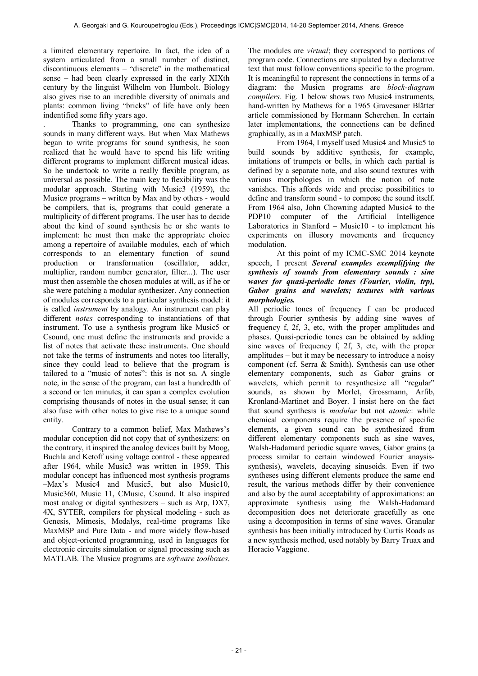a limited elementary repertoire. In fact, the idea of a system articulated from a small number of distinct, discontinuous elements – "discrete" in the mathematical sense – had been clearly expressed in the early XIXth century by the linguist Wilhelm von Humbolt. Biology also gives rise to an incredible diversity of animals and plants: common living "bricks" of life have only been indentified some fifty years ago.

. Thanks to programming, one can synthesize sounds in many different ways. But when Max Mathews began to write programs for sound synthesis, he soon realized that he would have to spend his life writing different programs to implement different musical ideas. So he undertook to write a really flexible program, as universal as possible. The main key to flexibility was the modular approach. Starting with Music3 (1959), the Music*n* programs – written by Max and by others - would be compilers, that is, programs that could generate a multiplicity of different programs. The user has to decide about the kind of sound synthesis he or she wants to implement: he must then make the appropriate choice among a repertoire of available modules, each of which corresponds to an elementary function of sound production or transformation (oscillator, adder, multiplier, random number generator, filter...). The user must then assemble the chosen modules at will, as if he or she were patching a modular synthesizer. Any connection of modules corresponds to a particular synthesis model: it is called *instrument* by analogy. An instrument can play different *notes* corresponding to instantiations of that instrument. To use a synthesis program like Music5 or Csound, one must define the instruments and provide a list of notes that activate these instruments. One should not take the terms of instruments and notes too literally, since they could lead to believe that the program is tailored to a "music of notes": this is not so*.* A single note, in the sense of the program, can last a hundredth of a second or ten minutes, it can span a complex evolution comprising thousands of notes in the usual sense; it can also fuse with other notes to give rise to a unique sound entity.

 Contrary to a common belief, Max Mathews's modular conception did not copy that of synthesizers: on the contrary, it inspired the analog devices built by Moog, Buchla and Ketoff using voltage control - these appeared after 1964, while Music3 was written in 1959. This modular concept has influenced most synthesis programs –Max's Music4 and Music5, but also Music10, Music360, Music 11, CMusic, Csound. It also inspired most analog or digital synthesizers – such as Arp, DX7, 4X, SYTER, compilers for physical modeling - such as Genesis, Mimesis, Modalys, real-time programs like MaxMSP and Pure Data - and more widely flow-based and object-oriented programming, used in languages for electronic circuits simulation or signal processing such as MATLAB. The Music*n* programs are *software toolboxes*.

The modules are *virtual*; they correspond to portions of program code. Connections are stipulated by a declarative text that must follow conventions specific to the program. It is meaningful to represent the connections in terms of a diagram: the Musicn programs are *block-diagram compilers*. Fig. 1 below shows two Music4 instruments, hand-written by Mathews for a 1965 Gravesaner Blätter article commissioned by Hermann Scherchen. In certain later implementations, the connections can be defined graphically, as in a MaxMSP patch.

 From 1964, I myself used Music4 and Music5 to build sounds by additive synthesis, for example, imitations of trumpets or bells, in which each partial is defined by a separate note, and also sound textures with various morphologies in which the notion of note vanishes. This affords wide and precise possibilities to define and transform sound - to compose the sound itself. From 1964 also, John Chowning adapted Music4 to the PDP10 computer of the Artificial Intelligence Laboratories in Stanford – Music10 - to implement his experiments on illusory movements and frequency modulation.

 At this point of my ICMC-SMC 2014 keynote speech, I present *Several examples exemplifying the synthesis of sounds from elementary sounds : sine waves for quasi-periodic tones (Fourier, violin, trp), Gabor grains and wavelets; textures with various morphologies.* 

All periodic tones of frequency f can be produced through Fourier synthesis by adding sine waves of frequency f, 2f, 3, etc, with the proper amplitudes and phases. Quasi-periodic tones can be obtained by adding sine waves of frequency f, 2f, 3, etc, with the proper amplitudes – but it may be necessary to introduce a noisy component (cf. Serra & Smith). Synthesis can use other elementary components, such as Gabor grains or wavelets, which permit to resynthesize all "regular" sounds, as shown by Morlet, Grossmann, Arfib, Kronland-Martinet and Boyer. I insist here on the fact that sound synthesis is *modular* but not *atomic*: while chemical components require the presence of specific elements, a given sound can be synthesized from different elementary components such as sine waves, Walsh-Hadamard periodic square waves, Gabor grains (a process similar to certain windowed Fourier anaysissynthesis), wavelets, decaying sinusoids. Even if two syntheses using different elements produce the same end result, the various methods differ by their convenience and also by the aural acceptability of approximations: an approximate synthesis using the Walsh-Hadamard decomposition does not deteriorate gracefully as one using a decomposition in terms of sine waves. Granular synthesis has been initially introduced by Curtis Roads as a new synthesis method, used notably by Barry Truax and Horacio Vaggione.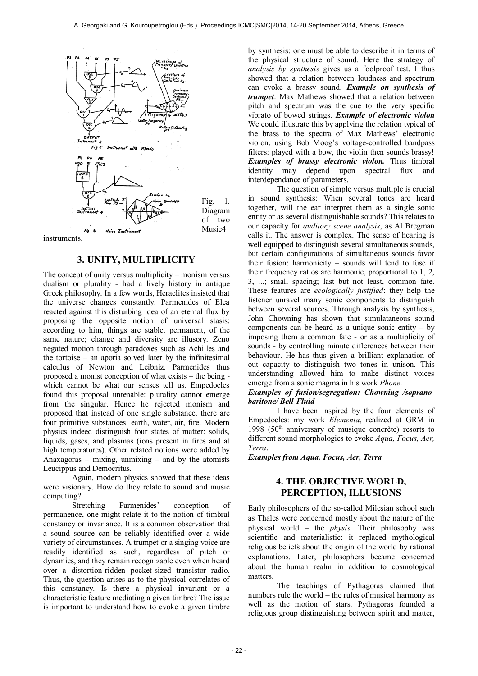

instruments.

#### **3. UNITY, MULTIPLICITY**

The concept of unity versus multiplicity – monism versus dualism or plurality - had a lively history in antique Greek philosophy. In a few words, Heraclites insisted that the universe changes constantly. Parmenides of Elea reacted against this disturbing idea of an eternal flux by proposing the opposite notion of universal stasis: according to him, things are stable, permanent, of the same nature; change and diversity are illusory. Zeno negated motion through paradoxes such as Achilles and the tortoise – an aporia solved later by the infinitesimal calculus of Newton and Leibniz. Parmenides thus proposed a monist conception of what exists – the being which cannot be what our senses tell us. Empedocles found this proposal untenable: plurality cannot emerge from the singular. Hence he rejected monism and proposed that instead of one single substance, there are four primitive substances: earth, water, air, fire. Modern physics indeed distinguish four states of matter: solids, liquids, gases, and plasmas (ions present in fires and at high temperatures). Other related notions were added by Anaxagoras – mixing, unmixing – and by the atomists Leucippus and Democritus.

 Again, modern physics showed that these ideas were visionary. How do they relate to sound and music computing?

 Stretching Parmenides' conception of permanence, one might relate it to the notion of timbral constancy or invariance. It is a common observation that a sound source can be reliably identified over a wide variety of circumstances. A trumpet or a singing voice are readily identified as such, regardless of pitch or dynamics, and they remain recognizable even when heard over a distortion-ridden pocket-sized transistor radio. Thus, the question arises as to the physical correlates of this constancy. Is there a physical invariant or a characteristic feature mediating a given timbre? The issue is important to understand how to evoke a given timbre by synthesis: one must be able to describe it in terms of the physical structure of sound. Here the strategy of *analysis by synthesis* gives us a foolproof test. I thus showed that a relation between loudness and spectrum can evoke a brassy sound. *Example on synthesis of trumpet*. Max Mathews showed that a relation between pitch and spectrum was the cue to the very specific vibrato of bowed strings. *Example of electronic violon*  We could illustrate this by applying the relation typical of the brass to the spectra of Max Mathews' electronic violon, using Bob Moog's voltage-controlled bandpass filters: played with a bow, the violin then sounds brassy! *Examples of brassy electronic violon.* Thus timbral identity may depend upon spectral flux and interdependance of parameters.

 The question of simple versus multiple is crucial in sound synthesis: When several tones are heard together, will the ear interpret them as a single sonic entity or as several distinguishable sounds? This relates to our capacity for *auditory scene analysis*, as Al Bregman calls it. The answer is complex. The sense of hearing is well equipped to distinguish several simultaneous sounds, but certain configurations of simultaneous sounds favor their fusion: harmonicity – sounds will tend to fuse if their frequency ratios are harmonic, proportional to 1, 2, 3, ...; small spacing; last but not least, common fate. These features are *ecologically justified*: they help the listener unravel many sonic components to distinguish between several sources. Through analysis by synthesis, John Chowning has shown that simulataneous sound components can be heard as a unique sonic entity – by imposing them a common fate - or as a multiplicity of sounds - by controlling minute differences between their behaviour. He has thus given a brilliant explanation of out capacity to distinguish two tones in unison. This understanding allowed him to make distinct voices emerge from a sonic magma in his work *Phone*.

#### *Examples of fusion/segregation: Chowning /sopranobaritone/ Bell-Fluid*

 I have been inspired by the four elements of Empedocles: my work *Elementa*, realized at GRM in 1998 ( $50<sup>th</sup>$  anniversary of musique concrète) resorts to different sound morphologies to evoke *Aqua, Focus, Aer, Terra*.

*Examples from Aqua, Focus, Aer, Terra* 

# **4. THE OBJECTIVE WORLD, PERCEPTION, ILLUSIONS**

Early philosophers of the so-called Milesian school such as Thales were concerned mostly about the nature of the physical world – the *physis*. Their philosophy was scientific and materialistic: it replaced mythological religious beliefs about the origin of the world by rational explanations. Later, philosophers became concerned about the human realm in addition to cosmological matters.

 The teachings of Pythagoras claimed that numbers rule the world – the rules of musical harmony as well as the motion of stars. Pythagoras founded a religious group distinguishing between spirit and matter,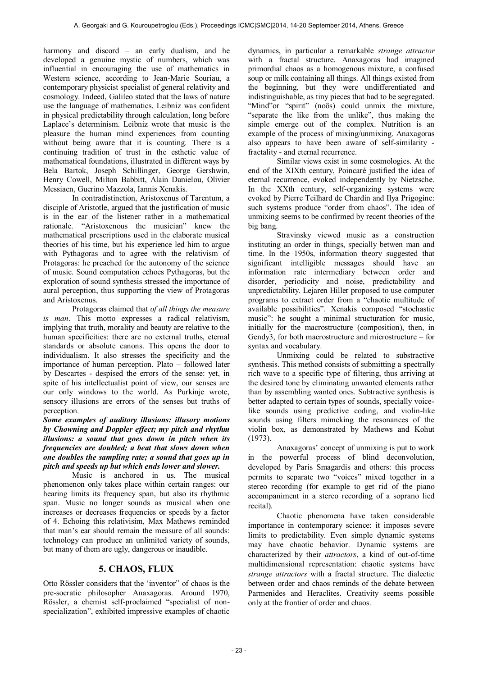harmony and discord – an early dualism, and he developed a genuine mystic of numbers, which was influential in encouraging the use of mathematics in Western science, according to Jean-Marie Souriau, a contemporary physicist specialist of general relativity and cosmology. Indeed, Galileo stated that the laws of nature use the language of mathematics. Leibniz was confident in physical predictability through calculation, long before Laplace's determinism. Leibniz wrote that music is the pleasure the human mind experiences from counting without being aware that it is counting. There is a continuing tradition of trust in the esthetic value of mathematical foundations, illustrated in different ways by Bela Bartok, Joseph Schillinger, George Gershwin, Henry Cowell, Milton Babbitt, Alain Danielou, Olivier Messiaen, Guerino Mazzola, Iannis Xenakis.

 In contradistinction, Aristoxenus of Tarentum, a disciple of Aristotle, argued that the justification of music is in the ear of the listener rather in a mathematical rationale. "Aristoxenous the musician" knew the mathematical prescriptions used in the elaborate musical theories of his time, but his experience led him to argue with Pythagoras and to agree with the relativism of Protagoras: he preached for the autonomy of the science of music. Sound computation echoes Pythagoras, but the exploration of sound synthesis stressed the importance of aural perception, thus supporting the view of Protagoras and Aristoxenus.

 Protagoras claimed that *of all things the measure is man*. This motto expresses a radical relativism, implying that truth, morality and beauty are relative to the human specificities: there are no external truths, eternal standards or absolute canons. This opens the door to individualism. It also stresses the specificity and the importance of human perception. Plato – followed later by Descartes - despised the errors of the sense: yet, in spite of his intellectualist point of view, our senses are our only windows to the world. As Purkinje wrote, sensory illusions are errors of the senses but truths of perception.

*Some examples of auditory illusions: illusory motions by Chowning and Doppler effect; my pitch and rhythm illusions: a sound that goes down in pitch when its frequencies are doubled; a beat that slows down when one doubles the sampling rate; a sound that goes up in pitch and speeds up but which ends lower and slower.* 

 Music is anchored in us. The musical phenomenon only takes place within certain ranges: our hearing limits its frequency span, but also its rhythmic span. Music no longer sounds as musical when one increases or decreases frequencies or speeds by a factor of 4. Echoing this relativisim, Max Mathews reminded that man's ear should remain the measure of all sounds: technology can produce an unlimited variety of sounds, but many of them are ugly, dangerous or inaudible.

# **5. CHAOS, FLUX**

Otto Rössler considers that the 'inventor" of chaos is the pre-socratic philosopher Anaxagoras. Around 1970, Rössler, a chemist self-proclaimed "specialist of nonspecialization", exhibited impressive examples of chaotic dynamics, in particular a remarkable *strange attractor* with a fractal structure. Anaxagoras had imagined primordial chaos as a homogenous mixture, a confused soup or milk containing all things. All things existed from the beginning, but they were undifferentiated and indistinguishable, as tiny pieces that had to be segregated. "Mind"or "spirit" (noös) could unmix the mixture, "separate the like from the unlike", thus making the simple emerge out of the complex. Nutrition is an example of the process of mixing/unmixing. Anaxagoras also appears to have been aware of self-similarity fractality - and eternal recurrence.

 Similar views exist in some cosmologies. At the end of the XIXth century, Poincaré justified the idea of eternal recurrence, evoked independently by Nietzsche. In the XXth century, self-organizing systems were evoked by Pierre Teilhard de Chardin and Ilya Prigogine: such systems produce "order from chaos". The idea of unmixing seems to be confirmed by recent theories of the big bang.

 Stravinsky viewed music as a construction instituting an order in things, specially betwen man and time. In the 1950s, information theory suggested that significant intelligible messages should have an information rate intermediary between order and disorder, periodicity and noise, predictability and unpredictability. Lejaren Hiller proposed to use computer programs to extract order from a "chaotic multitude of available possibilities". Xenakis composed "stochastic music": he sought a minimal structuration for music, initially for the macrostructure (composition), then, in Gendy3, for both macrostructure and microstructure – for syntax and vocabulary.

 Unmixing could be related to substractive synthesis. This method consists of submitting a spectrally rich wave to a specific type of filtering, thus arriving at the desired tone by eliminating unwanted elements rather than by assembling wanted ones. Subtractive synthesis is better adapted to certain types of sounds, specially voicelike sounds using predictive coding, and violin-like sounds using filters mimcking the resonances of the violin box, as demonstrated by Mathews and Kohut (1973).

 Anaxagoras' concept of unmixing is put to work in the powerful process of blind deconvolution, developed by Paris Smagardis and others: this process permits to separate two "voices" mixed together in a stereo recording (for example to get rid of the piano accompaniment in a stereo recording of a soprano lied recital).

 Chaotic phenomena have taken considerable importance in contemporary science: it imposes severe limits to predictability. Even simple dynamic systems may have chaotic behavior. Dynamic systems are characterized by their *attractors*, a kind of out-of-time multidimensional representation: chaotic systems have *strange attractors* with a fractal structure. The dialectic between order and chaos reminds of the debate between Parmenides and Heraclites. Creativity seems possible only at the frontier of order and chaos.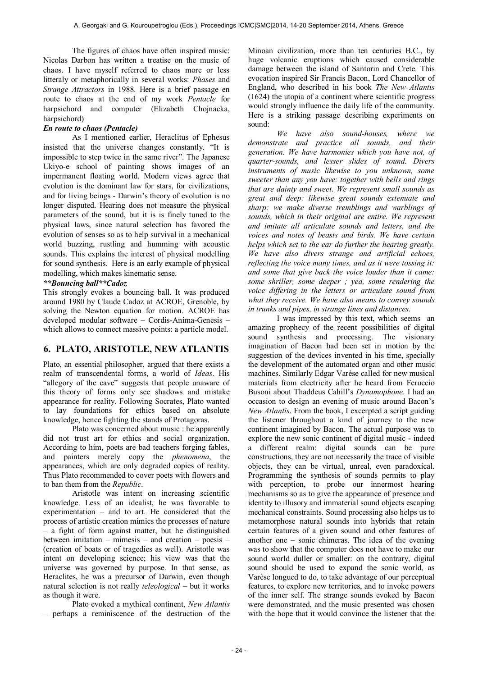The figures of chaos have often inspired music: Nicolas Darbon has written a treatise on the music of chaos. I have myself referred to chaos more or less litteraly or metaphorically in several works: *Phases* and *Strange Attractors* in 1988. Here is a brief passage en route to chaos at the end of my work *Pentacle* for harpsichord and computer (Elizabeth Chojnacka, harpsichord)

#### *En route to chaos (Pentacle)*

 As I mentioned earlier, Heraclitus of Ephesus insisted that the universe changes constantly. "It is impossible to step twice in the same river". The Japanese Ukiyo-e school of painting shows images of an impermanent floating world. Modern views agree that evolution is the dominant law for stars, for civilizations, and for living beings - Darwin's theory of evolution is no longer disputed. Hearing does not measure the physical parameters of the sound, but it is is finely tuned to the physical laws, since natural selection has favored the evolution of senses so as to help survival in a mechanical world buzzing, rustling and humming with acoustic sounds. This explains the interest of physical modelling for sound synthesis. Here is an early example of physical modelling, which makes kinematic sense.

#### *\*\*Bouncing ball\*\*Cadoz*

This strongly evokes a bouncing ball. It was produced around 1980 by Claude Cadoz at ACROE, Grenoble, by solving the Newton equation for motion. ACROE has developed modular software – Cordis-Anima-Genesis – which allows to connect massive points: a particle model.

#### **6. PLATO, ARISTOTLE, NEW ATLANTIS**

Plato, an essential philosopher, argued that there exists a realm of transcendental forms, a world of *Ideas*. His "allegory of the cave" suggests that people unaware of this theory of forms only see shadows and mistake appearance for reality. Following Socrates, Plato wanted to lay foundations for ethics based on absolute knowledge, hence fighting the stands of Protagoras.

 Plato was concerned about music : he apparently did not trust art for ethics and social organization. According to him, poets are bad teachers forging fables, and painters merely copy the *phenomena*, the appearances, which are only degraded copies of reality. Thus Plato recommended to cover poets with flowers and to ban them from the *Republic*.

 Aristotle was intent on increasing scientific knowledge. Less of an idealist, he was favorable to experimentation – and to art. He considered that the process of artistic creation mimics the processes of nature – a fight of form against matter, but he distinguished between imitation – mimesis – and creation – poesis – (creation of boats or of tragedies as well). Aristotle was intent on developing science; his view was that the universe was governed by purpose. In that sense, as Heraclites, he was a precursor of Darwin, even though natural selection is not really *teleological* – but it works as though it were.

 Plato evoked a mythical continent, *New Atlantis* – perhaps a reminiscence of the destruction of the

Minoan civilization, more than ten centuries B.C., by huge volcanic eruptions which caused considerable damage between the island of Santorin and Crete. This evocation inspired Sir Francis Bacon, Lord Chancellor of England, who described in his book *The New Atlantis* (1624) the utopia of a continent where scientific progress would strongly influence the daily life of the community. Here is a striking passage describing experiments on sound:

*We have also sound-houses, where we demonstrate and practice all sounds, and their generation. We have harmonies which you have not, of quarter-sounds, and lesser slides of sound. Divers instruments of music likewise to you unknown, some sweeter than any you have: together with bells and rings that are dainty and sweet. We represent small sounds as great and deep: likewise great sounds extenuate and sharp: we make diverse tremblings and warblings of sounds, which in their original are entire. We represent and imitate all articulate sounds and letters, and the voices and notes of beasts and birds. We have certain helps which set to the ear do further the hearing greatly. We have also divers strange and artificial echoes, reflecting the voice many times, and as it were tossing it: and some that give back the voice louder than it came: some shriller, some deeper ; yea, some rendering the voice differing in the letters or articulate sound from what they receive. We have also means to convey sounds in trunks and pipes, in strange lines and distances.* 

 I was impressed by this text, which seems an amazing prophecy of the recent possibilities of digital sound synthesis and processing. The visionary imagination of Bacon had been set in motion by the suggestion of the devices invented in his time, specially the development of the automated organ and other music machines. Similarly Edgar Varèse called for new musical materials from electricity after he heard from Feruccio Busoni about Thaddeus Cahill's *Dynamophone*. I had an occasion to design an evening of music around Bacon's *New Atlantis*. From the book, I excerpted a script guiding the listener throughout a kind of journey to the new continent imagined by Bacon. The actual purpose was to explore the new sonic continent of digital music - indeed a different realm: digital sounds can be pure constructions, they are not necessarily the trace of visible objects, they can be virtual, unreal, even paradoxical. Programming the synthesis of sounds permits to play with perception, to probe our innermost hearing mechanisms so as to give the appearance of presence and identity to illusory and immaterial sound objects escaping mechanical constraints. Sound processing also helps us to metamorphose natural sounds into hybrids that retain certain features of a given sound and other features of another one – sonic chimeras. The idea of the evening was to show that the computer does not have to make our sound world duller or smaller: on the contrary, digital sound should be used to expand the sonic world, as Varèse longued to do, to take advantage of our perceptual features, to explore new territories, and to invoke powers of the inner self. The strange sounds evoked by Bacon were demonstrated, and the music presented was chosen with the hope that it would convince the listener that the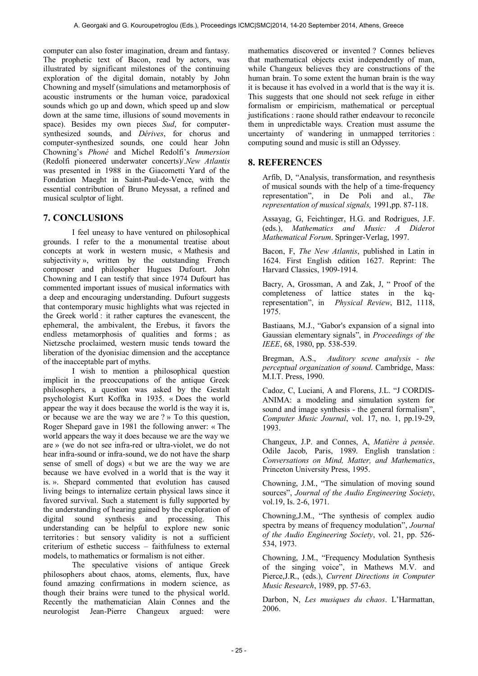computer can also foster imagination, dream and fantasy. The prophetic text of Bacon, read by actors, was illustrated by significant milestones of the continuing exploration of the digital domain, notably by John Chowning and myself (simulations and metamorphosis of acoustic instruments or the human voice, paradoxical sounds which go up and down, which speed up and slow down at the same time, illusions of sound movements in space). Besides my own pieces *Sud*, for computersynthesized sounds, and *Dérives*, for chorus and computer-synthesized sounds, one could hear John Chowning's *Phoné* and Michel Redolfi's *Immersion* (Redolfi pioneered underwater concerts)/.*New Atlantis* was presented in 1988 in the Giacometti Yard of the Fondation Maeght in Saint-Paul-de-Vence, with the essential contribution of Bruno Meyssat, a refined and musical sculptor of light.

# **7. CONCLUSIONS**

 I feel uneasy to have ventured on philosophical grounds. I refer to the a monumental treatise about concepts at work in western music, « Mathesis and subjectivity », written by the outstanding French composer and philosopher Hugues Dufourt. John Chowning and I can testify that since 1974 Dufourt has commented important issues of musical informatics with a deep and encouraging understanding. Dufourt suggests that contemporary music highlights what was rejected in the Greek world : it rather captures the evanescent, the ephemeral, the ambivalent, the Erebus, it favors the endless metamorphosis of qualities and forms ; as Nietzsche proclaimed, western music tends toward the liberation of the dyonisiac dimension and the acceptance of the inacceptable part of myths.

 I wish to mention a philosophical question implicit in the preoccupations of the antique Greek philosophers, a question was asked by the Gestalt psychologist Kurt Koffka in 1935. « Does the world appear the way it does because the world is the way it is, or because we are the way we are ? » To this question, Roger Shepard gave in 1981 the following anwer: « The world appears the way it does because we are the way we are » (we do not see infra-red or ultra-violet, we do not hear infra-sound or infra-sound, we do not have the sharp sense of smell of dogs) « but we are the way we are because we have evolved in a world that is the way it is. ». Shepard commented that evolution has caused living beings to internalize certain physical laws since it favored survival. Such a statement is fully supported by the understanding of hearing gained by the exploration of digital sound synthesis and processing. This digital sound synthesis and processing. This understanding can be helpful to explore new sonic territories : but sensory validity is not a sufficient criterium of esthetic success – faithfulness to external models, to mathematics or formalism is not either.

 The speculative visions of antique Greek philosophers about chaos, atoms, elements, flux, have found amazing confirmations in modern science, as though their brains were tuned to the physical world. Recently the mathematician Alain Connes and the neurologist Jean-Pierre Changeux argued: were

mathematics discovered or invented ? Connes believes that mathematical objects exist independently of man, while Changeux believes they are constructions of the human brain. To some extent the human brain is the way it is because it has evolved in a world that is the way it is. This suggests that one should not seek refuge in either formalism or empiricism, mathematical or perceptual justifications : raone should rather endeavour to reconcile them in unpredictable ways. Creation must assume the uncertainty of wandering in unmapped territories : computing sound and music is still an Odyssey.

# **8. REFERENCES**

Arfib, D, "Analysis, transformation, and resynthesis of musical sounds with the help of a time-frequency representation", in De Poli and al., *The representation of musical signals,* 1991,pp. 87-118.

Assayag, G, Feichtinger, H.G. and Rodrigues, J.F. (eds.), *Mathematics and Music: A Diderot Mathematical Forum*. Springer-Verlag, 1997.

Bacon, F, *The New Atlantis*, published in Latin in 1624. First English edition 1627. Reprint: The Harvard Classics, 1909-1914.

Bacry, A, Grossman, A and Zak, J, " Proof of the completeness of lattice states in the kqrepresentation", in *Physical Review*, B12, 1118, 1975.

Bastiaans, M.J., "Gabor's expansion of a signal into Gaussian elementary signals", in *Proceedings of the IEEE*, 68, 1980, pp. 538-539.

Bregman, A.S., *Auditory scene analysis - the perceptual organization of sound*. Cambridge, Mass: M.I.T. Press, 1990.

Cadoz, C, Luciani, A and Florens, J.L. "J CORDIS-ANIMA: a modeling and simulation system for sound and image synthesis - the general formalism", *Computer Music Journal*, vol. 17, no. 1, pp.19-29, 1993.

Changeux, J.P. and Connes, A, *Matière à pensée*. Odile Jacob, Paris, 1989. English translation : *Conversations on Mind, Matter, and Mathematics*, Princeton University Press, 1995.

Chowning, J.M., "The simulation of moving sound sources", *Journal of the Audio Engineering Society*, vol.19, Is. 2-6, 1971.

Chowning,J.M., "The synthesis of complex audio spectra by means of frequency modulation", *Journal of the Audio Engineering Society*, vol. 21, pp. 526- 534, 1973.

Chowning, J.M., "Frequency Modulation Synthesis of the singing voice", in Mathews M.V. and Pierce,J.R., (eds.), *Current Directions in Computer Music Research*, 1989, pp. 57-63.

Darbon, N, *Les musiques du chaos*. L'Harmattan, 2006.